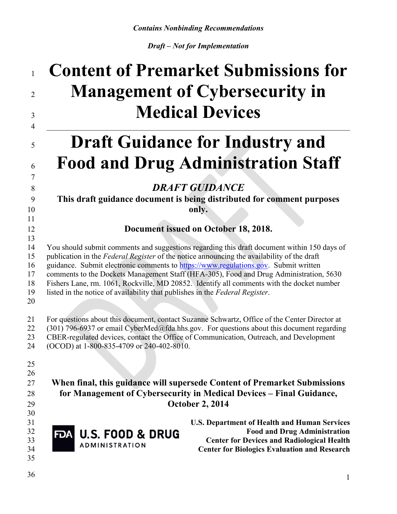# **Content of Premarket Submissions for Management of Cybersecurity in Medical Devices** \_\_\_\_\_\_\_\_\_\_\_\_\_\_\_\_\_\_\_\_\_\_\_\_\_\_\_\_\_\_\_\_\_\_\_\_\_\_\_\_\_\_\_\_\_\_\_\_\_\_\_\_\_\_\_\_\_\_\_\_\_\_\_\_\_\_\_\_\_\_\_\_\_\_\_\_\_\_ **Draft Guidance for Industry and Food and Drug Administration Staff DRAFT GUIDANCE This draft guidance document is being distributed for comment purposes only. Document issued on October 18, 2018.** You should submit comments and suggestions regarding this draft document within 150 days of publication in the *Federal Register* of the notice announcing the availability of the draft guidance. Submit electronic comments to [https://www.regulations.gov](https://www.regulations.gov/). Submit written comments to the Dockets Management Staff (HFA-305), Food and Drug Administration, 5630

Fishers Lane, rm. 1061, Rockville, MD 20852. Identify all comments with the docket number

- listed in the notice of availability that publishes in the *Federal Register*.
- 
- For questions about this document, contact Suzanne Schwartz, Office of the Center Director at 22 (301) 796-6937 or email CyberMed@fda.hhs.gov. For questions about this document regarding CBER-regulated devices, contact the Office of Communication, Outreach, and Development (OCOD) at 1-800-835-4709 or 240-402-8010.
- 
- 

### **When final, this guidance will supersede Content of Premarket Submissions for Management of Cybersecurity in Medical Devices – Final Guidance, October 2, 2014**

- 
- 

 **U.S. Department of Health and Human Services Food and Drug Administration CENTER COLLEGE DRUGS**<br>ADMINISTRATION **Center for Biologics Evaluation and Research**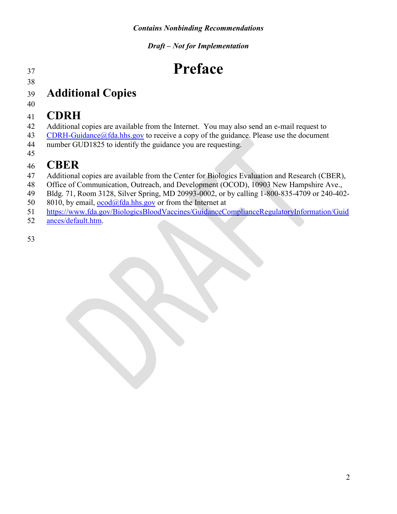# **Preface**

 

# **Additional Copies**

# **CDRH**

- Additional copies are available from the Internet. You may also send an e-mail request to
- [CDRH-Guidance@fda.hhs.gov](mailto:CDRH-Guidance@fda.hhs.gov) to receive a copy of the guidance. Please use the document
- number GUD1825 to identify the guidance you are requesting.

# 

- **CBER** Additional copies are available from the Center for Biologics Evaluation and Research (CBER),
- Office of Communication, Outreach, and Development (OCOD), 10903 New Hampshire Ave.,
- Bldg. 71, Room 3128, Silver Spring, MD 20993-0002, or by calling 1-800-835-4709 or 240-402-
- 50 8010, by email,  $\frac{\text{ocod}(a)$  fda.hhs.gov or from the Internet at
- [https://www.fda.gov/BiologicsBloodVaccines/GuidanceComplianceRegulatoryInformation/Gui](https://www.fda.gov/BiologicsBloodVaccines/GuidanceComplianceRegulatoryInformation/Guidances/default.htm)d
- [ances/default.htm.](https://www.fda.gov/BiologicsBloodVaccines/GuidanceComplianceRegulatoryInformation/Guidances/default.htm)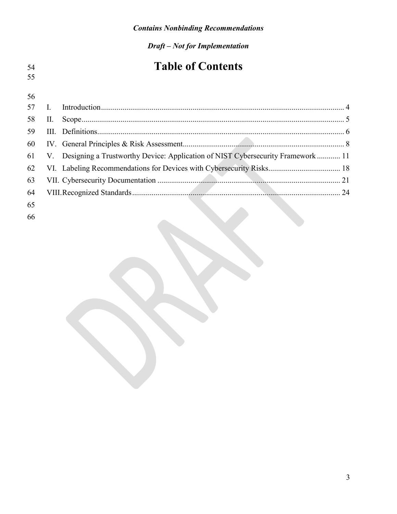| 54 |    | <b>Table of Contents</b>                                                          |  |
|----|----|-----------------------------------------------------------------------------------|--|
| 55 |    |                                                                                   |  |
| 56 |    |                                                                                   |  |
| 57 |    |                                                                                   |  |
| 58 | П. |                                                                                   |  |
| 59 | Ш. |                                                                                   |  |
| 60 |    |                                                                                   |  |
| 61 |    | V. Designing a Trustworthy Device: Application of NIST Cybersecurity Framework 11 |  |
| 62 |    |                                                                                   |  |
| 63 |    |                                                                                   |  |
| 64 |    |                                                                                   |  |
| 65 |    |                                                                                   |  |
| 66 |    |                                                                                   |  |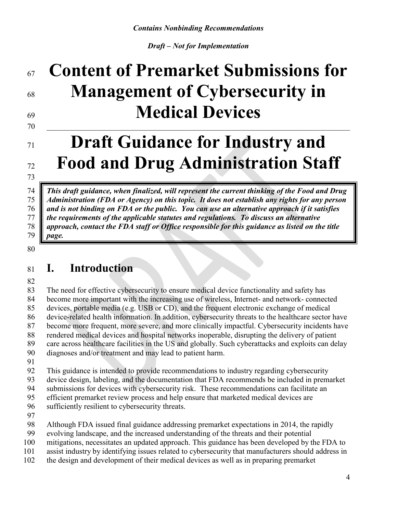# **Content of Premarket Submissions for Management of Cybersecurity in Medical Devices**

# $\_$

# **Draft Guidance for Industry and Food and Drug Administration Staff**

 *This draft guidance, when finalized, will represent the current thinking of the Food and Drug Administration (FDA or Agency) on this topic. It does not establish any rights for any person and is not binding on FDA or the public. You can use an alternative approach if it satisfies the requirements of the applicable statutes and regulations. To discuss an alternative approach, contact the FDA staff or Office responsible for this guidance as listed on the title page.*

#### 

# <span id="page-3-0"></span>**I. Introduction**

 The need for effective cybersecurity to ensure medical device functionality and safety has become more important with the increasing use of wireless, Internet- and network- connected devices, portable media (e.g. USB or CD), and the frequent electronic exchange of medical device-related health information. In addition, cybersecurity threats to the healthcare sector have become more frequent, more severe, and more clinically impactful. Cybersecurity incidents have rendered medical devices and hospital networks inoperable, disrupting the delivery of patient care across healthcare facilities in the US and globally. Such cyberattacks and exploits can delay diagnoses and/or treatment and may lead to patient harm.

This guidance is intended to provide recommendations to industry regarding cybersecurity

device design, labeling, and the documentation that FDA recommends be included in premarket

 submissions for devices with cybersecurity risk. These recommendations can facilitate an efficient premarket review process and help ensure that marketed medical devices are

sufficiently resilient to cybersecurity threats.

Although FDA issued final guidance addressing premarket expectations in 2014, the rapidly

- evolving landscape, and the increased understanding of the threats and their potential
- mitigations, necessitates an updated approach. This guidance has been developed by the FDA to
- assist industry by identifying issues related to cybersecurity that manufacturers should address in
- the design and development of their medical devices as well as in preparing premarket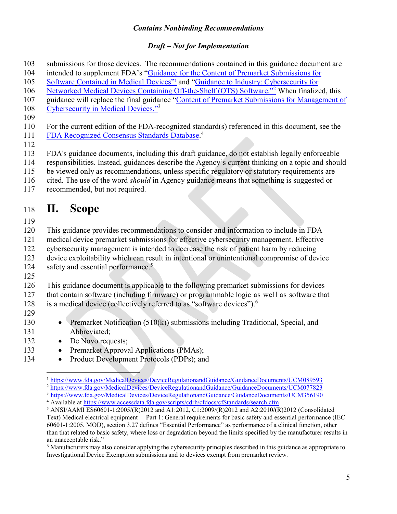#### *Draft – Not for Implementation*

- submissions for those devices. The recommendations contained in this guidance document are 103
- 104 intended to supplement FDA's "[Guidance for the Content of Premarket Submissions for](https://www.fda.gov/MedicalDevices/DeviceRegulationandGuidance/GuidanceDocuments/ucm089543.htm)
- 105 Software [Contained in Medical](http://www.fda.gov/MedicalDevices/DeviceRegulationandGuidance/GuidanceDocuments/ucm089543.htm) Devices"<sup>[1](#page-4-1)</sup> and ["Guidance to Industry: Cybersecurity](https://www.fda.gov/MedicalDevices/DeviceRegulationandGuidance/GuidanceDocuments/ucm089543.htm) for
- 106 Networked Medical Devices Containing Off-the-Shelf (OTS) Software.<sup>"[2](#page-4-2)</sup> When finalized, this
- 107 guidance will replace the final guidance "[Content of Premarket Submissions for Management of](https://www.fda.gov/downloads/medicaldevices/deviceregulationandguidance/guidancedocuments/ucm356190.pdf)
- [Cybersecurity in Medical Devices."](https://www.fda.gov/downloads/medicaldevices/deviceregulationandguidance/guidancedocuments/ucm356190.pdf)[3](#page-4-3) 108
- 109

110 For the current edition of the FDA-recognized standard(s) referenced in this document, see the [FDA Recognized Consensus Standards Database.](http://www.accessdata.fda.gov/scripts/cdrh/cfdocs/cfStandards/search.cfm) [4](#page-4-4)

111 112

113 FDA's guidance documents, including this draft guidance, do not establish legally enforceable

- 114 responsibilities. Instead, guidances describe the Agency's current thinking on a topic and should
- 115 be viewed only as recommendations, unless specific regulatory or statutory requirements are
- 116 cited. The use of the word *should* in Agency guidance means that something is suggested or
- 117 recommended, but not required.

# <span id="page-4-0"></span><sup>118</sup> **II. Scope**

- 119
- 120 This guidance provides recommendations to consider and information to include in FDA

121 medical device premarket submissions for effective cybersecurity management. Effective

- 122 cybersecurity management is intended to decrease the risk of patient harm by reducing
- 123 device exploitability which can result in intentional or unintentional compromise of device
- safety and essential performance.<sup>[5](#page-4-5)</sup> 124
- 125

126 This guidance document is applicable to the following premarket submissions for devices

- 127 that contain software (including firmware) or programmable logic as well as software that
- is a medical device (collectively referred to as "software devices").<sup>[6](#page-4-6)</sup> 128
- 129
- 130 Premarket Notification (510(k)) submissions including Traditional, Special, and 131 Abbreviated;
- 132 De Novo requests;
- 133 Premarket Approval Applications (PMAs);
- 134 Product Development Protocols (PDPs); and

<span id="page-4-2"></span><sup>2</sup> [https://www.fda.gov/MedicalDevices/DeviceRegulationandGuidance/GuidanceDocuments/UCM07782](https://www.fda.gov/MedicalDevices/DeviceRegulationandGuidance/GuidanceDocuments/UCM077823)3

<span id="page-4-4"></span><sup>4</sup> Available at [https://www.accessdata.fda.gov/scripts/cdrh/cfdocs/cfStandards/search.cf](https://www.accessdata.fda.gov/scripts/cdrh/cfdocs/cfStandards/search.cfm)m

<span id="page-4-1"></span> $\overline{a}$ <sup>1</sup> [https://www.fda.gov/MedicalDevices/DeviceRegulationandGuidance/GuidanceDocuments/UCM08959](https://www.fda.gov/MedicalDevices/DeviceRegulationandGuidance/GuidanceDocuments/UCM089593)3

<span id="page-4-3"></span><sup>3</sup> [https://www.fda.gov/MedicalDevices/DeviceRegulationandGuidance/GuidanceDocuments/UCM35619](https://www.fda.gov/MedicalDevices/DeviceRegulationandGuidance/GuidanceDocuments/UCM356190)0

<span id="page-4-5"></span><sup>5</sup> ANSI/AAMI ES60601-1:2005/(R)2012 and A1:2012, C1:2009/(R)2012 and A2:2010/(R)2012 (Consolidated Text) Medical electrical equipment— Part 1: General requirements for basic safety and essential performance (IEC 60601-1:2005, MOD), section 3.27 defines "Essential Performance" as performance of a clinical function, other than that related to basic safety, where loss or degradation beyond the limits specified by the manufacturer results in an unacceptable risk."

<span id="page-4-6"></span><sup>6</sup> Manufacturers may also consider applying the cybersecurity principles described in this guidance as appropriate to Investigational Device Exemption submissions and to devices exempt from premarket review.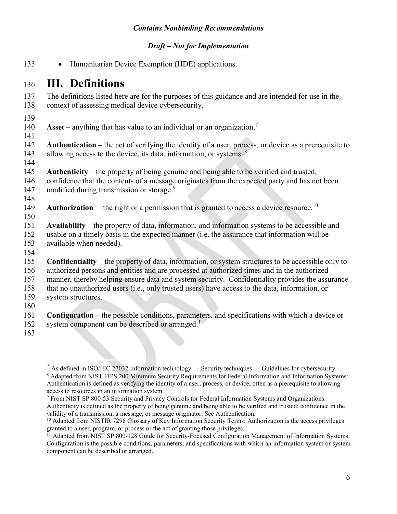#### *Draft – Not for Implementation*

· Humanitarian Device Exemption (HDE) applications. 

### <span id="page-5-0"></span>**III. Definitions**

 The definitions listed here are for the purposes of this guidance and are intended for use in the context of assessing medical device cybersecurity.

**Asset** – anything that has value to an individual or an organization.[7](#page-5-1) 

 **Authentication** – the act of verifying the identity of a user, process, or device as a prerequisite to allowing access to the device, its data, information, or systems.  $8$ 

- 
- **Authenticity** the property of being genuine and being able to be verified and trusted;
- confidence that the contents of a message originates from the expected party and has not been modified during transmission or storage.<sup>[9](#page-5-3)</sup>
- 

- 149 **Authorization** the right or a permission that is granted to access a device resource.<sup>[10](#page-5-4)</sup>
- **Availability** the property of data, information, and information systems to be accessible and usable on a timely basis in the expected manner (i.e. the assurance that information will be available when needed).
- 
- **Confidentiality** the property of data, information, or system structures to be accessible only to authorized persons and entities and are processed at authorized times and in the authorized manner, thereby helping ensure data and system security. Confidentiality provides the assurance that no unauthorized users (i.e., only trusted users) have access to the data, information, or system structures.
- 
- **Configuration** the possible conditions, parameters, and specifications with which a device or system component can be described or arranged.<sup>[11](#page-5-5)</sup>
- 

 $\overline{a}$ 

<span id="page-5-2"></span><span id="page-5-1"></span> $^7$  As defined in ISO/IEC 27032 Information technology — Security techniques — Guidelines for cybersecurity. Adapted from NIST FIPS 200 Minimum Security Requirements for Federal Information and Information Systems: Authentication is defined as verifying the identity of a user, process, or device, often as a prerequisite to allowing access to resources in an information system.

<span id="page-5-3"></span> From NIST SP 800-53 Security and Privacy Controls for Federal Information Systems and Organizations: Authenticity is defined as the property of being genuine and being able to be verified and trusted; confidence in the validity of a transmission, a message, or message originator. See Authentication.

<span id="page-5-4"></span><sup>&</sup>lt;sup>10</sup> Adapted from NISTIR 7298 Glossary of Key Information Security Terms: Authorization is the access privileges granted to a user, program, or process or the act of granting those privileges.

<span id="page-5-5"></span><sup>&</sup>lt;sup>11</sup> Adapted from NIST SP 800-128 Guide for Security-Focused Configuration Management of Information Systems: Configuration is the possible conditions, parameters, and specifications with which an information system or system component can be described or arranged.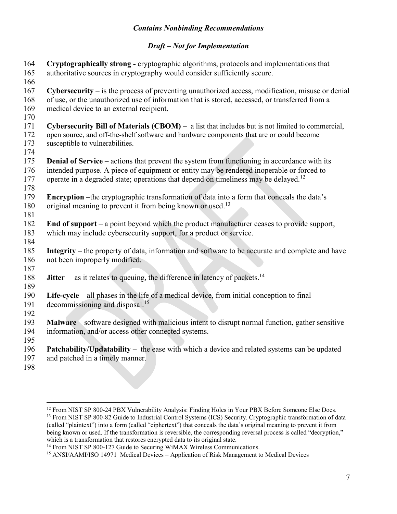#### *Draft – Not for Implementation*

**Cryptographically strong -** cryptographic algorithms, protocols and implementations that 164 165 authoritative sources in cryptography would consider sufficiently secure. 166 167 **Cybersecurity** – is the process of preventing unauthorized access, modification, misuse or denial 168 of use, or the unauthorized use of information that is stored, accessed, or transferred from a 169 medical device to an external recipient.  $\frac{170}{171}$ 171 **Cybersecurity Bill of Materials (CBOM)** – a list that includes but is not limited to commercial, 172 open source, and off-the-shelf software and hardware components that are or could become<br>173 susceptible to vulnerabilities. susceptible to vulnerabilities. 174 175 **Denial of Service** – actions that prevent the system from functioning in accordance with its 176 intended purpose. A piece of equipment or entity may be rendered inoperable or forced to 177 operate in a degraded state; operations that depend on timeliness may be delayed.<sup>12</sup> 178 179 **Encryption** –the cryptographic transformation of data into a form that conceals the data's 180 original meaning to prevent it from being known or used.<sup>[13](#page-6-1)</sup> 181 182 **End of support** – a point beyond which the product manufacturer ceases to provide support, 183 which may include cybersecurity support, for a product or service. 184 185 **Integrity** – the property of data, information and software to be accurate and complete and have 186 not been improperly modified. 187 188 **Jitter** – as it relates to queuing, the difference in latency of packets.<sup>[14](#page-6-2)</sup> 189 190 **Life-cycle** – all phases in the life of a medical device, from initial conception to final 191 decommissioning and disposal.<sup>[15](#page-6-3)</sup> 192<br>193 **Malware** – software designed with malicious intent to disrupt normal function, gather sensitive 194 information, and/or access other connected systems. 195 196 **Patchability/Updatability** – the ease with which a device and related systems can be updated 197 and patched in a timely manner. 198

 $\overline{a}$ 

<span id="page-6-1"></span><span id="page-6-0"></span><sup>&</sup>lt;sup>12</sup> From NIST SP 800-24 PBX Vulnerability Analysis: Finding Holes in Your PBX Before Someone Else Does. <sup>13</sup> From NIST SP 800-82 Guide to Industrial Control Systems (ICS) Security. Cryptographic transformation of data (called "plaintext") into a form (called "ciphertext") that conceals the data's original meaning to prevent it from being known or used. If the transformation is reversible, the corresponding reversal process is called "decryption," which is a transformation that restores encrypted data to its original state.

<span id="page-6-2"></span><sup>&</sup>lt;sup>14</sup> From NIST SP 800-127 Guide to Securing WiMAX Wireless Communications.

<span id="page-6-3"></span><sup>15</sup> ANSI/AAMI/ISO 14971 Medical Devices – Application of Risk Management to Medical Devices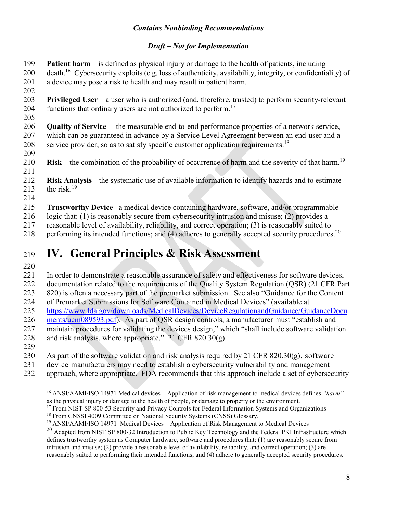#### *Draft – Not for Implementation*

**Patient harm** – is defined as physical injury or damage to the health of patients, including death.<sup>16</sup> Cybersecurity exploits (e.g. loss of authenticity, availability, integrity, or confidentiality) of a device may pose a risk to health and may result in patient harm. 

- **Privileged User** a user who is authorized (and, therefore, trusted) to perform security-relevant 204 functions that ordinary users are not authorized to perform.<sup>[17](#page-7-2)</sup>
- 

 **Quality of Service** – the measurable end-to-end performance properties of a network service, which can be guaranteed in advance by a Service Level Agreement between an end-user and a 208 service provider, so as to satisfy specific customer application requirements.<sup>[18](#page-7-3)</sup> 

- 210 **Risk** the combination of the probability of occurrence of harm and the severity of that harm.<sup>[19](#page-7-4)</sup>
- 

 **Risk Analysis** – the systematic use of available information to identify hazards and to estimate 213 the risk.<sup>19</sup>

- 
- **Trustworthy Device** –a medical device containing hardware, software, and/or programmable

logic that: (1) is reasonably secure from cybersecurity intrusion and misuse; (2) provides a

reasonable level of availability, reliability, and correct operation; (3) is reasonably suited to

218 performing its intended functions; and (4) adheres to generally accepted security procedures.<sup>[20](#page-7-5)</sup>

# <span id="page-7-0"></span>**IV. General Principles & Risk Assessment**

In order to demonstrate a reasonable assurance of safety and effectiveness for software devices,

222 documentation related to the requirements of the Quality System Regulation (QSR) (21 CFR Part

820) is often a necessary part of the premarket submission. See also "Guidance for the Content

of Premarket Submissions for Software Contained in Medical Devices" (available at

[https://www.fda.gov/downloads/MedicalDevices/DeviceRegulationandGuidance/GuidanceDocu](https://www.fda.gov/downloads/MedicalDevices/DeviceRegulationandGuidance/GuidanceDocuments/ucm089593.pdf)

- 226 ments/ucm089593.pdf). As part of QSR design controls, a manufacturer must "establish and<br>227 maintain procedures for validating the devices design," which "shall include software validati
- maintain procedures for validating the devices design," which "shall include software validation
- and risk analysis, where appropriate." 21 CFR 820.30(g).
- 

As part of the software validation and risk analysis required by 21 CFR 820.30(g), software

- device manufacturers may need to establish a cybersecurity vulnerability and management
- approach, where appropriate. FDA recommends that this approach include a set of cybersecurity

<span id="page-7-1"></span> $\overline{a}$  ANSI/AAMI/ISO 14971 Medical devices—Application of risk management to medical devices defines *"harm"* as the physical injury or damage to the health of people, or damage to property or the environment.

<span id="page-7-2"></span><sup>&</sup>lt;sup>17</sup> From NIST SP 800-53 Security and Privacy Controls for Federal Information Systems and Organizations

<span id="page-7-3"></span><sup>&</sup>lt;sup>18</sup> From CNSSI 4009 Committee on National Security Systems (CNSS) Glossary.

<span id="page-7-4"></span>ANSI/AAMI/ISO 14971 Medical Devices – Application of Risk Management to Medical Devices

<span id="page-7-5"></span><sup>&</sup>lt;sup>20</sup> Adapted from NIST SP 800-32 Introduction to Public Key Technology and the Federal PKI Infrastructure which defines trustworthy system as Computer hardware, software and procedures that: (1) are reasonably secure from intrusion and misuse; (2) provide a reasonable level of availability, reliability, and correct operation; (3) are reasonably suited to performing their intended functions; and (4) adhere to generally accepted security procedures.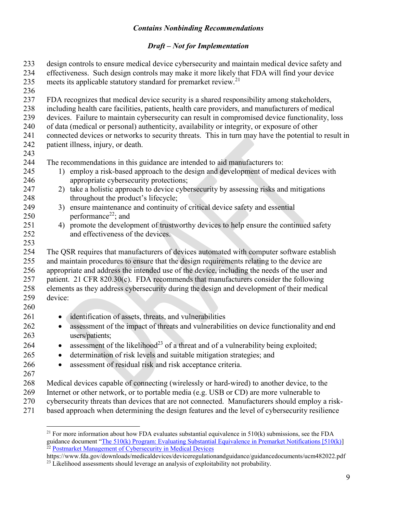#### *Draft – Not for Implementation*

| 233<br>234<br>235<br>236 | design controls to ensure medical device cybersecurity and maintain medical device safety and<br>effectiveness. Such design controls may make it more likely that FDA will find your device<br>meets its applicable statutory standard for premarket review. <sup>21</sup> |
|--------------------------|----------------------------------------------------------------------------------------------------------------------------------------------------------------------------------------------------------------------------------------------------------------------------|
| 237<br>238               | FDA recognizes that medical device security is a shared responsibility among stakeholders,<br>including health care facilities, patients, health care providers, and manufacturers of medical                                                                              |
| 239                      | devices. Failure to maintain cybersecurity can result in compromised device functionality, loss                                                                                                                                                                            |
| 240                      | of data (medical or personal) authenticity, availability or integrity, or exposure of other                                                                                                                                                                                |
| 241<br>242               | connected devices or networks to security threats. This in turn may have the potential to result in<br>patient illness, injury, or death.                                                                                                                                  |
| 243                      |                                                                                                                                                                                                                                                                            |
| 244                      | The recommendations in this guidance are intended to aid manufacturers to:                                                                                                                                                                                                 |
| 245                      | 1) employ a risk-based approach to the design and development of medical devices with                                                                                                                                                                                      |
| 246                      | appropriate cybersecurity protections;                                                                                                                                                                                                                                     |
| 247                      | 2) take a holistic approach to device cybersecurity by assessing risks and mitigations                                                                                                                                                                                     |
| 248                      | throughout the product's lifecycle;                                                                                                                                                                                                                                        |
| 249                      | 3) ensure maintenance and continuity of critical device safety and essential                                                                                                                                                                                               |
| 250<br>251               | performance <sup>22</sup> ; and<br>promote the development of trustworthy devices to help ensure the continued safety<br>4)                                                                                                                                                |
| 252                      | and effectiveness of the devices.                                                                                                                                                                                                                                          |
| 253                      |                                                                                                                                                                                                                                                                            |
| 254                      | The QSR requires that manufacturers of devices automated with computer software establish                                                                                                                                                                                  |
| 255                      | and maintain procedures to ensure that the design requirements relating to the device are                                                                                                                                                                                  |
| 256                      | appropriate and address the intended use of the device, including the needs of the user and                                                                                                                                                                                |
| 257                      | patient. 21 CFR 820.30(c). FDA recommends that manufacturers consider the following                                                                                                                                                                                        |
| 258                      | elements as they address cybersecurity during the design and development of their medical                                                                                                                                                                                  |
| 259                      | device:                                                                                                                                                                                                                                                                    |
| 260                      |                                                                                                                                                                                                                                                                            |
| 261                      | identification of assets, threats, and vulnerabilities<br>$\bullet$                                                                                                                                                                                                        |
| 262<br>263               | assessment of the impact of threats and vulnerabilities on device functionality and end<br>$\bullet$<br>users/patients;                                                                                                                                                    |
| 264                      | assessment of the likelihood <sup>23</sup> of a threat and of a vulnerability being exploited;                                                                                                                                                                             |
| 265                      | determination of risk levels and suitable mitigation strategies; and                                                                                                                                                                                                       |
| 266                      | assessment of residual risk and risk acceptance criteria.                                                                                                                                                                                                                  |
| 267                      |                                                                                                                                                                                                                                                                            |
| 268                      | Medical devices capable of connecting (wirelessly or hard-wired) to another device, to the                                                                                                                                                                                 |
| 269                      | Internet or other network, or to portable media (e.g. USB or CD) are more vulnerable to                                                                                                                                                                                    |
| 270                      | cybersecurity threats than devices that are not connected. Manufacturers should employ a risk-                                                                                                                                                                             |

based approach when determining the design features and the level of cybersecurity resilience

 $\overline{a}$ 

<span id="page-8-0"></span><sup>&</sup>lt;sup>21</sup> For more information about how FDA evaluates substantial equivalence in  $510(k)$  submissions, see the FDA guidance document "[The 510\(k\) Program: Evaluating Substantial Equivalence in Premarket Notifications \[510\(k\)](https://www.fda.gov/MedicalDevices/DeviceRegulationandGuidance/GuidanceDocuments/UCM284443)] <sup>22</sup> [Postmarket Management of Cybersecurity in Medical Device](https://www.fda.gov/downloads/medicaldevices/deviceregulationandguidance/guidancedocuments/ucm482022.pdf)s

<span id="page-8-2"></span><span id="page-8-1"></span>https://www.fda.gov/downloads/medicaldevices/deviceregulationandguidance/guidancedocuments/ucm482022.pdf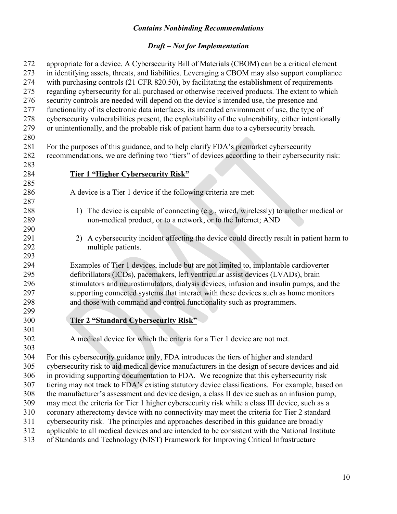| 272 | appropriate for a device. A Cybersecurity Bill of Materials (CBOM) can be a critical element         |  |  |  |  |  |  |  |
|-----|------------------------------------------------------------------------------------------------------|--|--|--|--|--|--|--|
| 273 | in identifying assets, threats, and liabilities. Leveraging a CBOM may also support compliance       |  |  |  |  |  |  |  |
| 274 | with purchasing controls (21 CFR 820.50), by facilitating the establishment of requirements          |  |  |  |  |  |  |  |
| 275 | regarding cybersecurity for all purchased or otherwise received products. The extent to which        |  |  |  |  |  |  |  |
| 276 | security controls are needed will depend on the device's intended use, the presence and              |  |  |  |  |  |  |  |
| 277 | functionality of its electronic data interfaces, its intended environment of use, the type of        |  |  |  |  |  |  |  |
| 278 | cybersecurity vulnerabilities present, the exploitability of the vulnerability, either intentionally |  |  |  |  |  |  |  |
| 279 | or unintentionally, and the probable risk of patient harm due to a cybersecurity breach.             |  |  |  |  |  |  |  |
| 280 |                                                                                                      |  |  |  |  |  |  |  |
| 281 | For the purposes of this guidance, and to help clarify FDA's premarket cybersecurity                 |  |  |  |  |  |  |  |
| 282 | recommendations, we are defining two "tiers" of devices according to their cybersecurity risk:       |  |  |  |  |  |  |  |
| 283 |                                                                                                      |  |  |  |  |  |  |  |
| 284 | Tier 1 "Higher Cybersecurity Risk"                                                                   |  |  |  |  |  |  |  |
| 285 |                                                                                                      |  |  |  |  |  |  |  |
| 286 | A device is a Tier 1 device if the following criteria are met:                                       |  |  |  |  |  |  |  |
| 287 |                                                                                                      |  |  |  |  |  |  |  |
| 288 | 1) The device is capable of connecting (e.g., wired, wirelessly) to another medical or               |  |  |  |  |  |  |  |
| 289 | non-medical product, or to a network, or to the Internet; AND                                        |  |  |  |  |  |  |  |
| 290 |                                                                                                      |  |  |  |  |  |  |  |
| 291 | 2) A cybersecurity incident affecting the device could directly result in patient harm to            |  |  |  |  |  |  |  |
| 292 | multiple patients.                                                                                   |  |  |  |  |  |  |  |
| 293 |                                                                                                      |  |  |  |  |  |  |  |
| 294 | Examples of Tier 1 devices, include but are not limited to, implantable cardioverter                 |  |  |  |  |  |  |  |
| 295 | defibrillators (ICDs), pacemakers, left ventricular assist devices (LVADs), brain                    |  |  |  |  |  |  |  |
| 296 | stimulators and neurostimulators, dialysis devices, infusion and insulin pumps, and the              |  |  |  |  |  |  |  |
| 297 | supporting connected systems that interact with these devices such as home monitors                  |  |  |  |  |  |  |  |
| 298 | and those with command and control functionality such as programmers.                                |  |  |  |  |  |  |  |
| 299 |                                                                                                      |  |  |  |  |  |  |  |
| 300 | <b>Tier 2 "Standard Cybersecurity Risk"</b>                                                          |  |  |  |  |  |  |  |
| 301 |                                                                                                      |  |  |  |  |  |  |  |
| 302 | A medical device for which the criteria for a Tier 1 device are not met.                             |  |  |  |  |  |  |  |
| 303 |                                                                                                      |  |  |  |  |  |  |  |
| 304 | For this cybersecurity guidance only, FDA introduces the tiers of higher and standard                |  |  |  |  |  |  |  |
| 305 | cybersecurity risk to aid medical device manufacturers in the design of secure devices and aid       |  |  |  |  |  |  |  |
| 306 | in providing supporting documentation to FDA. We recognize that this cybersecurity risk              |  |  |  |  |  |  |  |
| 307 | tiering may not track to FDA's existing statutory device classifications. For example, based on      |  |  |  |  |  |  |  |
| 308 | the manufacturer's assessment and device design, a class II device such as an infusion pump,         |  |  |  |  |  |  |  |
| 309 | may meet the criteria for Tier 1 higher cybersecurity risk while a class III device, such as a       |  |  |  |  |  |  |  |
| 310 | coronary atherectomy device with no connectivity may meet the criteria for Tier 2 standard           |  |  |  |  |  |  |  |
| 311 | cybersecurity risk. The principles and approaches described in this guidance are broadly             |  |  |  |  |  |  |  |
| 312 | applicable to all medical devices and are intended to be consistent with the National Institute      |  |  |  |  |  |  |  |
| 313 | of Standards and Technology (NIST) Framework for Improving Critical Infrastructure                   |  |  |  |  |  |  |  |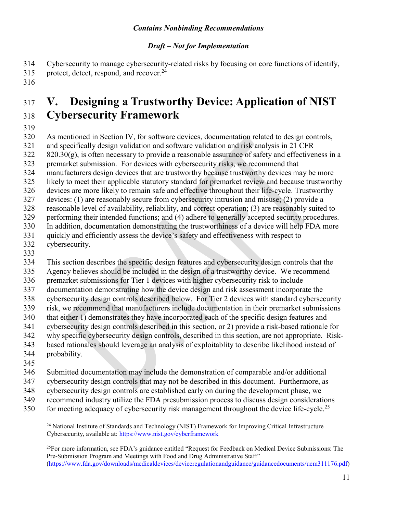#### *Draft – Not for Implementation*

Cybersecurity to manage cybersecurity-related risks by focusing on core functions of identify, 315 protect, detect, respond, and recover.

# <span id="page-10-0"></span> **V. Designing a Trustworthy Device: Application of NIST Cybersecurity Framework**

As mentioned in Section IV, for software devices, documentation related to design controls,

and specifically design validation and software validation and risk analysis in 21 CFR

 $820.30(g)$ , is often necessary to provide a reasonable assurance of safety and effectiveness in a

premarket submission. For devices with cybersecurity risks, we recommend that

manufacturers design devices that are trustworthy because trustworthy devices may be more

likely to meet their applicable statutory standard for premarket review and because trustworthy

devices are more likely to remain safe and effective throughout their life-cycle. Trustworthy

devices: (1) are reasonably secure from cybersecurity intrusion and misuse; (2) provide a

reasonable level of availability, reliability, and correct operation; (3) are reasonably suited to

 performing their intended functions; and (4) adhere to generally accepted security procedures. In addition, documentation demonstrating the trustworthiness of a device will help FDA more

quickly and efficiently assess the device's safety and effectiveness with respect to

- 
- cybersecurity.

This section describes the specific design features and cybersecurity design controls that the

Agency believes should be included in the design of a trustworthy device. We recommend

 premarket submissions for Tier 1 devices with higher cybersecurity risk to include documentation demonstrating how the device design and risk assessment incorporate the

 cybersecurity design controls described below. For Tier 2 devices with standard cybersecurity risk, we recommend that manufacturers include documentation in their premarket submissions

 that either 1) demonstrates they have incorporated each of the specific design features and cybersecurity design controls described in this section, or 2) provide a risk-based rationale for

- why specific cybersecurity design controls, described in this section, are not appropriate. Risk-
- based rationales should leverage an analysis of exploitablity to describe likelihood instead of
- probability.
- 

Submitted documentation may include the demonstration of comparable and/or additional

- cybersecurity design controls that may not be described in this document. Furthermore, as
- cybersecurity design controls are established early on during the development phase, we
- recommend industry utilize the FDA presubmission process to discuss design considerations
- $f_{\text{50}}$  for meeting adequacy of cybersecurity risk management throughout the device life-cycle.<sup>[25](#page-10-2)</sup>

<span id="page-10-1"></span> $\overline{a}$ <sup>24</sup> National Institute of Standards and Technology (NIST) Framework for Improving Critical Infrastructure Cybersecurity, available at: [https://www.nist.gov/cyberframewo](https://www.nist.gov/cyberframework)rk

<span id="page-10-2"></span> $^{25}$ For more information, see FDA's guidance entitled "Request for Feedback on Medical Device Submissions: The Pre-Submission Program and Meetings with Food and Drug Administrative Staff" [\(https://www.fda.gov/downloads/medicaldevices/deviceregulationandguidance/guidancedocuments/ucm311176.pdf](https://www.fda.gov/downloads/medicaldevices/deviceregulationandguidance/guidancedocuments/ucm311176.pdf))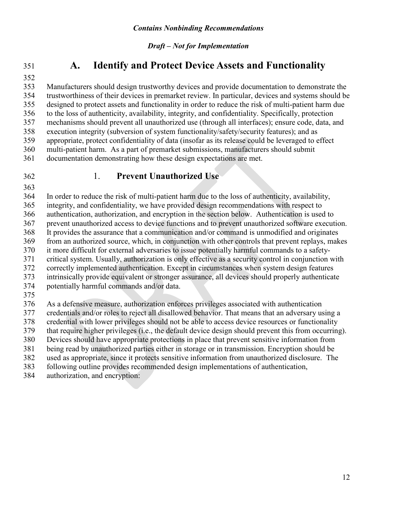# 

### **A. Identify and Protect Device Assets and Functionality**

 Manufacturers should design trustworthy devices and provide documentation to demonstrate the trustworthiness of their devices in premarket review. In particular, devices and systems should be designed to protect assets and functionality in order to reduce the risk of multi-patient harm due to the loss of authenticity, availability, integrity, and confidentiality. Specifically, protection mechanisms should prevent all unauthorized use (through all interfaces); ensure code, data, and execution integrity (subversion of system functionality/safety/security features); and as appropriate, protect confidentiality of data (insofar as its release could be leveraged to effect multi-patient harm. As a part of premarket submissions, manufacturers should submit documentation demonstrating how these design expectations are met.

#### 1. **Prevent Unauthorized Use**

 In order to reduce the risk of multi-patient harm due to the loss of authenticity, availability, integrity, and confidentiality, we have provided design recommendations with respect to authentication, authorization, and encryption in the section below. Authentication is used to prevent unauthorized access to device functions and to prevent unauthorized software execution. It provides the assurance that a communication and/or command is unmodified and originates from an authorized source, which, in conjunction with other controls that prevent replays, makes it more difficult for external adversaries to issue potentially harmful commands to a safety- critical system. Usually, authorization is only effective as a security control in conjunction with correctly implemented authentication. Except in circumstances when system design features intrinsically provide equivalent or stronger assurance, all devices should properly authenticate potentially harmful commands and/or data. As a defensive measure, authorization enforces privileges associated with authentication

 credentials and/or roles to reject all disallowed behavior. That means that an adversary using a credential with lower privileges should not be able to access device resources or functionality

that require higher privileges (i.e., the default device design should prevent this from occurring).

Devices should have appropriate protections in place that prevent sensitive information from

being read by unauthorized parties either in storage or in transmission. Encryption should be

used as appropriate, since it protects sensitive information from unauthorized disclosure. The

following outline provides recommended design implementations of authentication,

authorization, and encryption: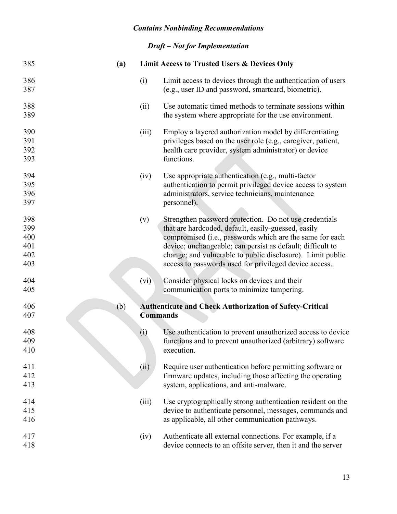| 385                                    | (a) |                 | <b>Limit Access to Trusted Users &amp; Devices Only</b>                                                                                                                                                                                                                                                                                                         |
|----------------------------------------|-----|-----------------|-----------------------------------------------------------------------------------------------------------------------------------------------------------------------------------------------------------------------------------------------------------------------------------------------------------------------------------------------------------------|
| 386<br>387                             |     | (i)             | Limit access to devices through the authentication of users<br>(e.g., user ID and password, smartcard, biometric).                                                                                                                                                                                                                                              |
| 388<br>389                             |     | (ii)            | Use automatic timed methods to terminate sessions within<br>the system where appropriate for the use environment.                                                                                                                                                                                                                                               |
| 390<br>391<br>392<br>393               |     | (iii)           | Employ a layered authorization model by differentiating<br>privileges based on the user role (e.g., caregiver, patient,<br>health care provider, system administrator) or device<br>functions.                                                                                                                                                                  |
| 394<br>395<br>396<br>397               |     | (iv)            | Use appropriate authentication (e.g., multi-factor<br>authentication to permit privileged device access to system<br>administrators, service technicians, maintenance<br>personnel).                                                                                                                                                                            |
| 398<br>399<br>400<br>401<br>402<br>403 |     | (v)             | Strengthen password protection. Do not use credentials<br>that are hardcoded, default, easily-guessed, easily<br>compromised (i.e., passwords which are the same for each<br>device; unchangeable; can persist as default; difficult to<br>change; and vulnerable to public disclosure). Limit public<br>access to passwords used for privileged device access. |
| 404<br>405                             |     | (vi)            | Consider physical locks on devices and their<br>communication ports to minimize tampering.                                                                                                                                                                                                                                                                      |
| 406<br>407                             | (b) | <b>Commands</b> | <b>Authenticate and Check Authorization of Safety-Critical</b>                                                                                                                                                                                                                                                                                                  |
| 408<br>409<br>410                      |     | (i)             | Use authentication to prevent unauthorized access to device<br>functions and to prevent unauthorized (arbitrary) software<br>execution.                                                                                                                                                                                                                         |
| 411<br>412<br>413                      |     | (ii)            | Require user authentication before permitting software or<br>firmware updates, including those affecting the operating<br>system, applications, and anti-malware.                                                                                                                                                                                               |
| 414<br>415<br>416                      |     | (iii)           | Use cryptographically strong authentication resident on the<br>device to authenticate personnel, messages, commands and<br>as applicable, all other communication pathways.                                                                                                                                                                                     |
| 417<br>418                             |     | (iv)            | Authenticate all external connections. For example, if a<br>device connects to an offsite server, then it and the server                                                                                                                                                                                                                                        |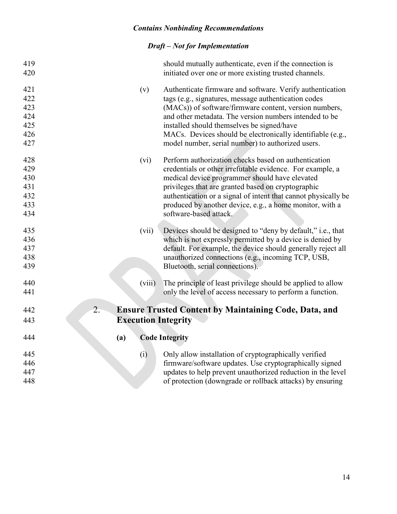| 419<br>420 |                            | should mutually authenticate, even if the connection is<br>initiated over one or more existing trusted channels. |
|------------|----------------------------|------------------------------------------------------------------------------------------------------------------|
| 421        | (v)                        | Authenticate firmware and software. Verify authentication                                                        |
| 422        |                            | tags (e.g., signatures, message authentication codes                                                             |
| 423        |                            | (MACs)) of software/firmware content, version numbers,                                                           |
| 424        |                            | and other metadata. The version numbers intended to be                                                           |
| 425        |                            | installed should themselves be signed/have                                                                       |
| 426        |                            | MACs. Devices should be electronically identifiable (e.g.,                                                       |
| 427        |                            | model number, serial number) to authorized users.                                                                |
| 428        | (vi)                       | Perform authorization checks based on authentication                                                             |
| 429        |                            | credentials or other irrefutable evidence. For example, a                                                        |
| 430        |                            | medical device programmer should have elevated                                                                   |
| 431        |                            | privileges that are granted based on cryptographic                                                               |
| 432        |                            | authentication or a signal of intent that cannot physically be                                                   |
| 433        |                            | produced by another device, e.g., a home monitor, with a                                                         |
| 434        |                            | software-based attack.                                                                                           |
| 435        | (vii)                      | Devices should be designed to "deny by default," i.e., that                                                      |
| 436        |                            | which is not expressly permitted by a device is denied by                                                        |
| 437        |                            | default. For example, the device should generally reject all                                                     |
| 438        |                            | unauthorized connections (e.g., incoming TCP, USB,                                                               |
| 439        |                            | Bluetooth, serial connections).                                                                                  |
|            |                            |                                                                                                                  |
| 440        | (viii)                     | The principle of least privilege should be applied to allow                                                      |
| 441        |                            | only the level of access necessary to perform a function.                                                        |
| 442        | $\overline{2}$ .           | <b>Ensure Trusted Content by Maintaining Code, Data, and</b>                                                     |
| 443        | <b>Execution Integrity</b> |                                                                                                                  |
| 444        | (a)                        | <b>Code Integrity</b>                                                                                            |
| 445        | (i)                        | Only allow installation of cryptographically verified                                                            |
| 446        |                            | firmware/software updates. Use cryptographically signed                                                          |
| 447        |                            | updates to help prevent unauthorized reduction in the level                                                      |
| 448        |                            | of protection (downgrade or rollback attacks) by ensuring                                                        |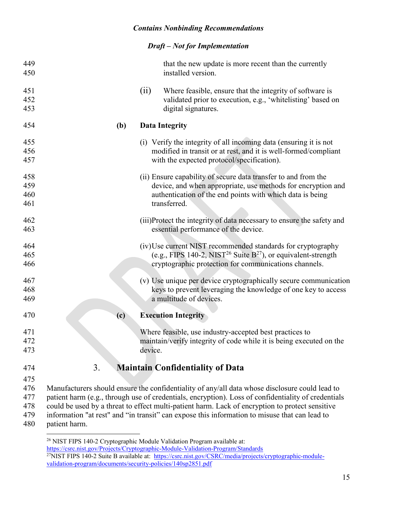#### *Draft – Not for Implementation*

| 449 |               |         | that the new update is more recent than the currently                                               |
|-----|---------------|---------|-----------------------------------------------------------------------------------------------------|
| 450 |               |         | installed version.                                                                                  |
| 451 |               | (ii)    | Where feasible, ensure that the integrity of software is                                            |
| 452 |               |         | validated prior to execution, e.g., 'whitelisting' based on                                         |
| 453 |               |         | digital signatures.                                                                                 |
| 454 | (b)           |         | <b>Data Integrity</b>                                                                               |
| 455 |               |         | (i) Verify the integrity of all incoming data (ensuring it is not                                   |
| 456 |               |         | modified in transit or at rest, and it is well-formed/compliant                                     |
| 457 |               |         | with the expected protocol/specification).                                                          |
| 458 |               |         | (ii) Ensure capability of secure data transfer to and from the                                      |
| 459 |               |         | device, and when appropriate, use methods for encryption and                                        |
| 460 |               |         | authentication of the end points with which data is being                                           |
| 461 |               |         | transferred.                                                                                        |
| 462 |               |         | (iii)Protect the integrity of data necessary to ensure the safety and                               |
| 463 |               |         | essential performance of the device.                                                                |
| 464 |               |         | (iv) Use current NIST recommended standards for cryptography                                        |
| 465 |               |         | (e.g., FIPS 140-2, NIST <sup>26</sup> Suite $B^{27}$ ), or equivalent-strength                      |
| 466 |               |         | cryptographic protection for communications channels.                                               |
| 467 |               |         | (v) Use unique per device cryptographically secure communication                                    |
| 468 |               |         | keys to prevent leveraging the knowledge of one key to access                                       |
| 469 |               |         | a multitude of devices.                                                                             |
| 470 | (c)           |         | <b>Execution Integrity</b>                                                                          |
| 471 |               |         | Where feasible, use industry-accepted best practices to                                             |
| 472 |               |         | maintain/verify integrity of code while it is being executed on the                                 |
| 473 |               | device. |                                                                                                     |
| 474 | 3.            |         | <b>Maintain Confidentiality of Data</b>                                                             |
| 475 |               |         |                                                                                                     |
| 476 |               |         | Manufacturers should ensure the confidentiality of any/all data whose disclosure could lead to      |
| 477 |               |         | patient harm (e.g., through use of credentials, encryption). Loss of confidentiality of credentials |
| 478 |               |         | could be used by a threat to effect multi-patient harm. Lack of encryption to protect sensitive     |
| 479 |               |         | information "at rest" and "in transit" can expose this information to misuse that can lead to       |
| 480 | patient harm. |         |                                                                                                     |

<span id="page-14-1"></span><span id="page-14-0"></span> $\overline{a}$  NIST FIPS 140-2 Cryptographic Module Validation Program available at: [https://csrc.nist.gov/Projects/Cryptographic-Module-Validation-Program/Standard](https://csrc.nist.gov/Projects/Cryptographic-Module-Validation-Program/Standards)s <sup>27</sup>NIST FIPS 140-2 Suite B available at: [https://csrc.nist.gov/CSRC/media/projects/cryptographic-module](https://csrc.nist.gov/CSRC/media/projects/cryptographic-module-validation-program/documents/security-policies/140sp2851.pdf)[validation-program/documents/security-policies/140sp2851.pdf](https://csrc.nist.gov/CSRC/media/projects/cryptographic-module-validation-program/documents/security-policies/140sp2851.pdf)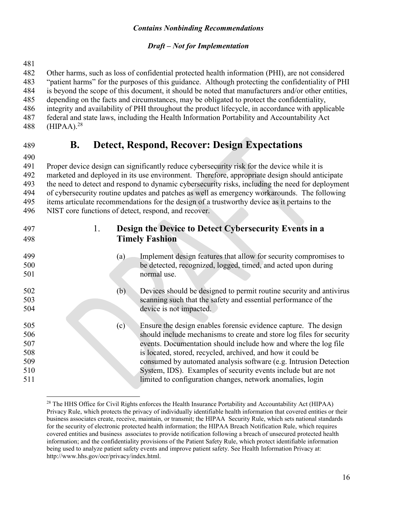#### *Draft – Not for Implementation*

 Other harms, such as loss of confidential protected health information (PHI), are not considered "patient harms" for the purposes of this guidance. Although protecting the confidentiality of PHI is beyond the scope of this document, it should be noted that manufacturers and/or other entities, depending on the facts and circumstances, may be obligated to protect the confidentiality, integrity and availability of PHI throughout the product lifecycle, in accordance with applicable federal and state laws, including the Health Information Portability and Accountability Act 488 (HIPAA). $^{28}$  $^{28}$  $^{28}$ 

# **B. Detect, Respond, Recover: Design Expectations**

 Proper device design can significantly reduce cybersecurity risk for the device while it is marketed and deployed in its use environment. Therefore, appropriate design should anticipate the need to detect and respond to dynamic cybersecurity risks, including the need for deployment of cybersecurity routine updates and patches as well as emergency workarounds. The following

 items articulate recommendations for the design of a trustworthy device as it pertains to the NIST core functions of detect, respond, and recover.

 1. **Design the Device to Detect Cybersecurity Events in a Timely Fashion** (a) Implement design features that allow for security compromises to be detected, recognized, logged, timed, and acted upon during normal use. (b) Devices should be designed to permit routine security and antivirus scanning such that the safety and essential performance of the device is not impacted. (c) Ensure the design enables forensic evidence capture. The design should include mechanisms to create and store log files for security events. Documentation should include how and where the log file is located, stored, recycled, archived, and how it could be consumed by automated analysis software (e.g. Intrusion Detection System, IDS). Examples of security events include but are not limited to configuration changes, network anomalies, login

<span id="page-15-0"></span> $\overline{a}$ <sup>28</sup> The HHS Office for Civil Rights enforces the Health Insurance Portability and Accountability Act (HIPAA) Privacy Rule, which protects the privacy of individually identifiable health information that covered entities or their business associates create, receive, maintain, or transmit; the HIPAA Security Rule, which sets national standards for the security of electronic protected health information; the HIPAA Breach Notification Rule, which requires covered entities and business associates to provide notification following a breach of unsecured protected health information; and the confidentiality provisions of the Patient Safety Rule, which protect identifiable information being used to analyze patient safety events and improve patient safety. See Health Information Privacy at: http://www.hhs.gov/ocr/privacy/index.html.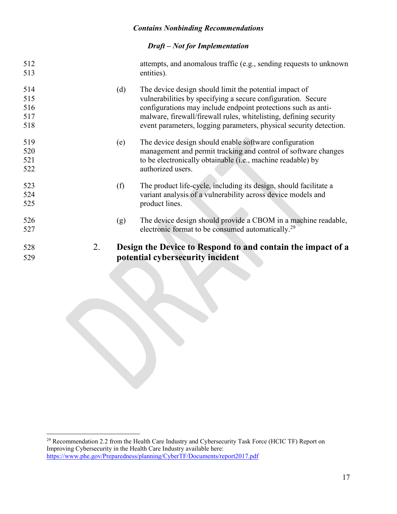| 529 |    |     | potential cybersecurity incident                                   |
|-----|----|-----|--------------------------------------------------------------------|
| 528 | 2. |     | Design the Device to Respond to and contain the impact of a        |
| 527 |    |     | electronic format to be consumed automatically. <sup>29</sup>      |
| 526 |    | (g) | The device design should provide a CBOM in a machine readable,     |
|     |    |     |                                                                    |
| 525 |    |     | product lines.                                                     |
| 524 |    |     | variant analysis of a vulnerability across device models and       |
| 523 |    | (f) | The product life-cycle, including its design, should facilitate a  |
| 522 |    |     | authorized users.                                                  |
| 521 |    |     | to be electronically obtainable (i.e., machine readable) by        |
| 520 |    |     | management and permit tracking and control of software changes     |
| 519 |    | (e) | The device design should enable software configuration             |
| 518 |    |     | event parameters, logging parameters, physical security detection. |
| 517 |    |     | malware, firewall/firewall rules, whitelisting, defining security  |
| 516 |    |     | configurations may include endpoint protections such as anti-      |
| 515 |    |     | vulnerabilities by specifying a secure configuration. Secure       |
| 514 |    | (d) | The device design should limit the potential impact of             |
| 513 |    |     | entities).                                                         |
| 512 |    |     | attempts, and anomalous traffic (e.g., sending requests to unknown |
|     |    |     |                                                                    |

<span id="page-16-0"></span> $\overline{a}$ <sup>29</sup> Recommendation 2.2 from the Health Care Industry and Cybersecurity Task Force (HCIC TF) Report on Improving Cybersecurity in the Health Care Industry available here: [https://www.phe.gov/Preparedness/planning/CyberTF/Documents/report2017.pd](https://www.phe.gov/Preparedness/planning/CyberTF/Documents/report2017.pdf)f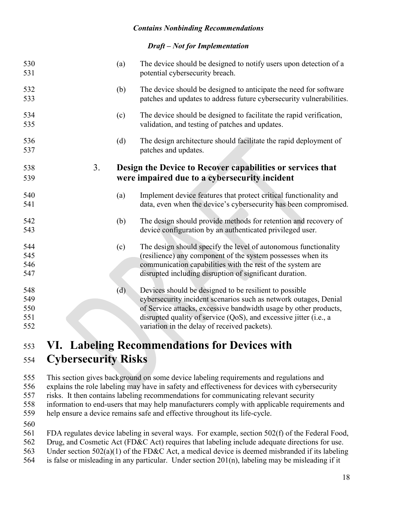#### *Draft – Not for Implementation*

| 530<br>531                      |    | (a) | The device should be designed to notify users upon detection of a<br>potential cybersecurity breach.                                                                                                                                                                                                                |
|---------------------------------|----|-----|---------------------------------------------------------------------------------------------------------------------------------------------------------------------------------------------------------------------------------------------------------------------------------------------------------------------|
| 532<br>533                      |    | (b) | The device should be designed to anticipate the need for software<br>patches and updates to address future cybersecurity vulnerabilities.                                                                                                                                                                           |
| 534<br>535                      |    | (c) | The device should be designed to facilitate the rapid verification,<br>validation, and testing of patches and updates.                                                                                                                                                                                              |
| 536<br>537                      |    | (d) | The design architecture should facilitate the rapid deployment of<br>patches and updates.                                                                                                                                                                                                                           |
| 538<br>539                      | 3. |     | Design the Device to Recover capabilities or services that<br>were impaired due to a cybersecurity incident                                                                                                                                                                                                         |
|                                 |    |     |                                                                                                                                                                                                                                                                                                                     |
| 540<br>541                      |    | (a) | Implement device features that protect critical functionality and<br>data, even when the device's cybersecurity has been compromised.                                                                                                                                                                               |
| 542<br>543                      |    | (b) | The design should provide methods for retention and recovery of<br>device configuration by an authenticated privileged user.                                                                                                                                                                                        |
| 544<br>545<br>546<br>547        |    | (c) | The design should specify the level of autonomous functionality<br>(resilience) any component of the system possesses when its<br>communication capabilities with the rest of the system are<br>disrupted including disruption of significant duration.                                                             |
| 548<br>549<br>550<br>551<br>552 |    | (d) | Devices should be designed to be resilient to possible<br>cybersecurity incident scenarios such as network outages, Denial<br>of Service attacks, excessive bandwidth usage by other products,<br>disrupted quality of service (QoS), and excessive jitter (i.e., a<br>variation in the delay of received packets). |
|                                 |    |     |                                                                                                                                                                                                                                                                                                                     |

# <span id="page-17-0"></span> **VI. Labeling Recommendations for Devices with Cybersecurity Risks**

 This section gives background on some device labeling requirements and regulations and explains the role labeling may have in safety and effectiveness for devices with cybersecurity risks. It then contains labeling recommendations for communicating relevant security information to end-users that may help manufacturers comply with applicable requirements and help ensure a device remains safe and effective throughout its life-cycle.

 FDA regulates device labeling in several ways. For example, section 502(f) of the Federal Food, Drug, and Cosmetic Act (FD&C Act) requires that labeling include adequate directions for use. Under section 502(a)(1) of the FD&C Act, a medical device is deemed misbranded if its labeling is false or misleading in any particular. Under section 201(n), labeling may be misleading if it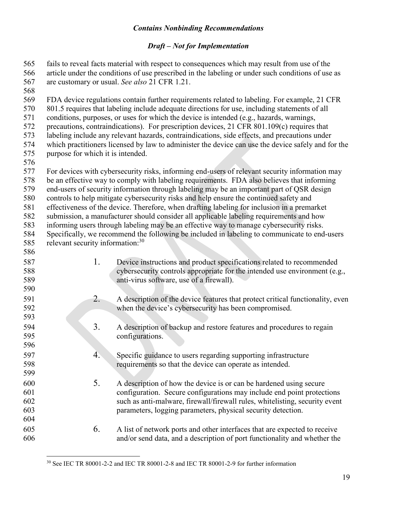#### *Draft – Not for Implementation*

fails to reveal facts material with respect to consequences which may result from use of the article under the conditions of use prescribed in the labeling or under such conditions of use as are customary or usual. *See also* 21 CFR 1.21. FDA device regulations contain further requirements related to labeling. For example, 21 CFR 801.5 requires that labeling include adequate directions for use, including statements of all conditions, purposes, or uses for which the device is intended (e.g., hazards, warnings, precautions, contraindications). For prescription devices, 21 CFR 801.109(c) requires that labeling include any relevant hazards, contraindications, side effects, and precautions under which practitioners licensed by law to administer the device can use the device safely and for the purpose for which it is intended. For devices with cybersecurity risks, informing end-users of relevant security information may be an effective way to comply with labeling requirements. FDA also believes that informing end-users of security information through labeling may be an important part of QSR design controls to help mitigate cybersecurity risks and help ensure the continued safety and effectiveness of the device. Therefore, when drafting labeling for inclusion in a premarket submission, a manufacturer should consider all applicable labeling requirements and how informing users through labeling may be an effective way to manage cybersecurity risks. Specifically, we recommend the following be included in labeling to communicate to end-users 585 relevant security information: 1. Device instructions and product specifications related to recommended cybersecurity controls appropriate for the intended use environment (e.g., anti-virus software, use of a firewall). 591 2. A description of the device features that protect critical functionality, even<br>592 when the device's cybersecurity has been compromised. when the device's cybersecurity has been compromised. 3. A description of backup and restore features and procedures to regain configurations. 597 4. Specific guidance to users regarding supporting infrastructure<br>598 figurements so that the device can operate as intended. requirements so that the device can operate as intended. 5. A description of how the device is or can be hardened using secure configuration. Secure configurations may include end point protections such as anti-malware, firewall/firewall rules, whitelisting, security event parameters, logging parameters, physical security detection. 6. A list of network ports and other interfaces that are expected to receive and/or send data, and a description of port functionality and whether the

<span id="page-18-0"></span> $\overline{a}$ See IEC TR 80001-2-2 and IEC TR 80001-2-8 and IEC TR 80001-2-9 for further information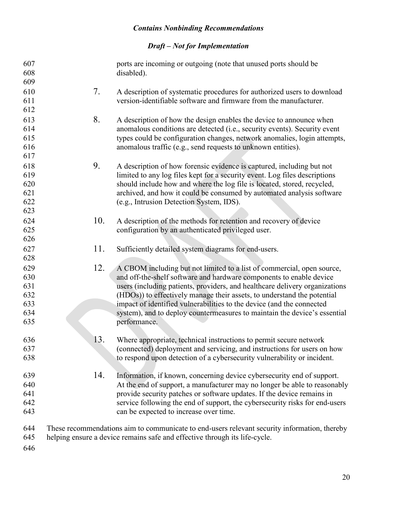| 607<br>608<br>609 |     | ports are incoming or outgoing (note that unused ports should be<br>disabled).                                                                   |
|-------------------|-----|--------------------------------------------------------------------------------------------------------------------------------------------------|
| 610<br>611        | 7.  | A description of systematic procedures for authorized users to download<br>version-identifiable software and firmware from the manufacturer.     |
| 612               |     |                                                                                                                                                  |
| 613               | 8.  | A description of how the design enables the device to announce when                                                                              |
| 614<br>615        |     | anomalous conditions are detected (i.e., security events). Security event                                                                        |
| 616               |     | types could be configuration changes, network anomalies, login attempts,<br>anomalous traffic (e.g., send requests to unknown entities).         |
| 617               |     |                                                                                                                                                  |
| 618               | 9.  | A description of how forensic evidence is captured, including but not                                                                            |
| 619               |     | limited to any log files kept for a security event. Log files descriptions                                                                       |
| 620               |     | should include how and where the log file is located, stored, recycled,                                                                          |
| 621               |     | archived, and how it could be consumed by automated analysis software                                                                            |
| 622               |     | (e.g., Intrusion Detection System, IDS).                                                                                                         |
| 623               |     |                                                                                                                                                  |
| 624               | 10. | A description of the methods for retention and recovery of device                                                                                |
| 625               |     | configuration by an authenticated privileged user.                                                                                               |
| 626               |     |                                                                                                                                                  |
| 627               | 11. | Sufficiently detailed system diagrams for end-users.                                                                                             |
| 628               |     |                                                                                                                                                  |
| 629               | 12. | A CBOM including but not limited to a list of commercial, open source,                                                                           |
| 630               |     | and off-the-shelf software and hardware components to enable device                                                                              |
| 631               |     | users (including patients, providers, and healthcare delivery organizations                                                                      |
| 632<br>633        |     | (HDOs)) to effectively manage their assets, to understand the potential<br>impact of identified vulnerabilities to the device (and the connected |
| 634               |     | system), and to deploy countermeasures to maintain the device's essential                                                                        |
| 635               |     | performance.                                                                                                                                     |
| 636               | 13. | Where appropriate, technical instructions to permit secure network                                                                               |
| 637               |     | (connected) deployment and servicing, and instructions for users on how                                                                          |
| 638               |     | to respond upon detection of a cybersecurity vulnerability or incident.                                                                          |
| 639               | 14. | Information, if known, concerning device cybersecurity end of support.                                                                           |
| 640               |     | At the end of support, a manufacturer may no longer be able to reasonably                                                                        |
| 641               |     | provide security patches or software updates. If the device remains in                                                                           |
| 642               |     | service following the end of support, the cybersecurity risks for end-users                                                                      |
| 643               |     | can be expected to increase over time.                                                                                                           |
| 644               |     | These recommendations aim to communicate to end-users relevant security information, thereby                                                     |
| 645               |     | helping ensure a device remains safe and effective through its life-cycle.                                                                       |
| 646               |     |                                                                                                                                                  |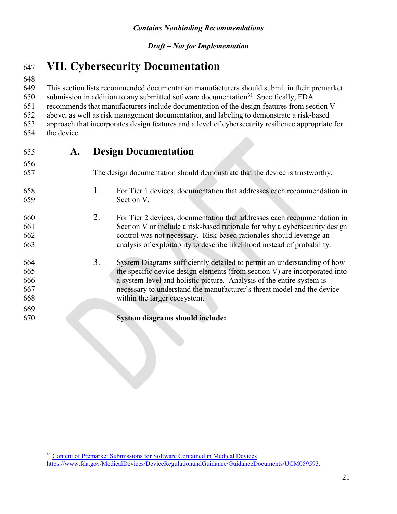#### <span id="page-20-0"></span>**VII. Cybersecurity Documentation**

This section lists recommended documentation manufacturers should submit in their premarket

650 submission in addition to any submitted software documentation<sup>[31](#page-20-1)</sup>. Specifically, FDA

recommends that manufacturers include documentation of the design features from section V

above, as well as risk management documentation, and labeling to demonstrate a risk-based

 approach that incorporates design features and a level of cybersecurity resilience appropriate for the device. 

| 655 | A. | <b>Design Documentation</b>                                                   |
|-----|----|-------------------------------------------------------------------------------|
| 656 |    |                                                                               |
| 657 |    | The design documentation should demonstrate that the device is trustworthy.   |
| 658 |    | 1.<br>For Tier 1 devices, documentation that addresses each recommendation in |
| 659 |    | Section V.                                                                    |
| 660 |    | 2.<br>For Tier 2 devices, documentation that addresses each recommendation in |
| 661 |    | Section V or include a risk-based rationale for why a cybersecurity design    |
| 662 |    | control was not necessary. Risk-based rationales should leverage an           |
| 663 |    | analysis of exploitablity to describe likelihood instead of probability.      |
| 664 |    | 3.<br>System Diagrams sufficiently detailed to permit an understanding of how |
| 665 |    | the specific device design elements (from section V) are incorporated into    |
| 666 |    | a system-level and holistic picture. Analysis of the entire system is         |
| 667 |    | necessary to understand the manufacturer's threat model and the device        |
| 668 |    | within the larger ecosystem.                                                  |
| 669 |    |                                                                               |
| 670 |    | System diagrams should include:                                               |

<span id="page-20-1"></span> $\overline{a}$ <sup>31</sup> [Content of Premarket Submissions for Software Contained in Medical Device](https://www.fda.gov/MedicalDevices/DeviceRegulationandGuidance/GuidanceDocuments/UCM089593)s https://www.fda.gov/MedicalDevices/DeviceRegulationandGuidance/GuidanceDocuments/UCM089593.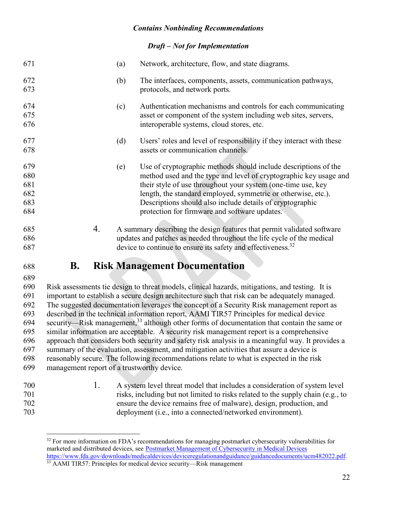#### *Draft – Not for Implementation*

| 671                                    | (a) | Network, architecture, flow, and state diagrams.                                                                                                                                                                                                                                                                                                                                    |
|----------------------------------------|-----|-------------------------------------------------------------------------------------------------------------------------------------------------------------------------------------------------------------------------------------------------------------------------------------------------------------------------------------------------------------------------------------|
| 672<br>673                             | (b) | The interfaces, components, assets, communication pathways,<br>protocols, and network ports.                                                                                                                                                                                                                                                                                        |
| 674<br>675<br>676                      | (c) | Authentication mechanisms and controls for each communicating<br>asset or component of the system including web sites, servers,<br>interoperable systems, cloud stores, etc.                                                                                                                                                                                                        |
| 677<br>678                             | (d) | Users' roles and level of responsibility if they interact with these<br>assets or communication channels.                                                                                                                                                                                                                                                                           |
| 679<br>680<br>681<br>682<br>683<br>684 | (e) | Use of cryptographic methods should include descriptions of the<br>method used and the type and level of cryptographic key usage and<br>their style of use throughout your system (one-time use, key<br>length, the standard employed, symmetric or otherwise, etc.).<br>Descriptions should also include details of cryptographic<br>protection for firmware and software updates. |
| 685<br>686<br>687                      | 4.  | A summary describing the design features that permit validated software<br>updates and patches as needed throughout the life cycle of the medical<br>device to continue to ensure its safety and effectiveness. <sup>32</sup>                                                                                                                                                       |
|                                        |     |                                                                                                                                                                                                                                                                                                                                                                                     |

#### **B. Risk Management Documentation**

 Risk assessments tie design to threat models, clinical hazards, mitigations, and testing. It is important to establish a secure design architecture such that risk can be adequately managed. The suggested documentation leverages the concept of a Security Risk management report as described in the technical information report, AAMI TIR57 Principles for medical device 694 security—Risk management, although other forms of documentation that contain the same or similar information are acceptable. A security risk management report is a comprehensive approach that considers both security and safety risk analysis in a meaningful way. It provides a summary of the evaluation, assessment, and mitigation activities that assure a device is reasonably secure. The following recommendations relate to what is expected in the risk management report of a trustworthy device.

 1. A system level threat model that includes a consideration of system level risks, including but not limited to risks related to the supply chain (e.g., to ensure the device remains free of malware), design, production, and deployment (i.e., into a connected/networked environment).

<span id="page-21-0"></span> $\overline{a}$ <sup>32</sup> For more information on FDA's recommendations for managing postmarket cybersecurity vulnerabilities for marketed and distributed devices, see [Postmarket Management of Cybersecurity in Medical Device](https://www.fda.gov/downloads/medicaldevices/deviceregulationandguidance/guidancedocuments/ucm482022.pdf)s <https://www.fda.gov/downloads/medicaldevices/deviceregulationandguidance/guidancedocuments/ucm482022.pdf>.

<span id="page-21-1"></span><sup>&</sup>lt;sup>33</sup> AAMI TIR57: Principles for medical device security—Risk management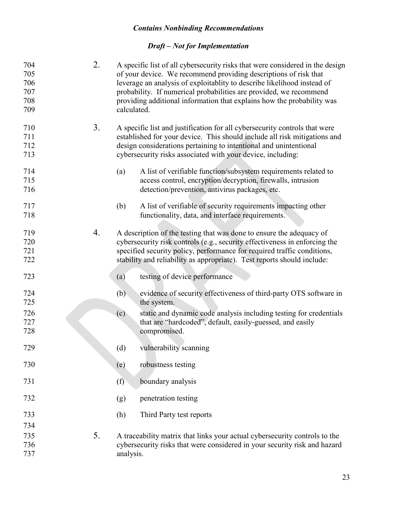| 704<br>705<br>706<br>707<br>708<br>709 | 2. | calculated. | A specific list of all cybersecurity risks that were considered in the design<br>of your device. We recommend providing descriptions of risk that<br>leverage an analysis of exploitablity to describe likelihood instead of<br>probability. If numerical probabilities are provided, we recommend<br>providing additional information that explains how the probability was |
|----------------------------------------|----|-------------|------------------------------------------------------------------------------------------------------------------------------------------------------------------------------------------------------------------------------------------------------------------------------------------------------------------------------------------------------------------------------|
| 710<br>711<br>712<br>713               | 3. |             | A specific list and justification for all cybersecurity controls that were<br>established for your device. This should include all risk mitigations and<br>design considerations pertaining to intentional and unintentional<br>cybersecurity risks associated with your device, including:                                                                                  |
| 714<br>715<br>716                      |    | (a)         | A list of verifiable function/subsystem requirements related to<br>access control, encryption/decryption, firewalls, intrusion<br>detection/prevention, antivirus packages, etc.                                                                                                                                                                                             |
| 717<br>718                             |    | (b)         | A list of verifiable of security requirements impacting other<br>functionality, data, and interface requirements.                                                                                                                                                                                                                                                            |
| 719<br>720<br>721<br>722               | 4. |             | A description of the testing that was done to ensure the adequacy of<br>cybersecurity risk controls (e.g., security effectiveness in enforcing the<br>specified security policy, performance for required traffic conditions,<br>stability and reliability as appropriate). Test reports should include:                                                                     |
| 723                                    |    | (a)         | testing of device performance                                                                                                                                                                                                                                                                                                                                                |
| 724<br>725                             |    | (b)         | evidence of security effectiveness of third-party OTS software in<br>the system.                                                                                                                                                                                                                                                                                             |
| 726<br>727<br>728                      |    | (c)         | static and dynamic code analysis including testing for credentials<br>that are "hardcoded", default, easily-guessed, and easily<br>compromised.                                                                                                                                                                                                                              |
| 729                                    |    | (d)         | vulnerability scanning                                                                                                                                                                                                                                                                                                                                                       |
| 730                                    |    | (e)         | robustness testing                                                                                                                                                                                                                                                                                                                                                           |
| 731                                    |    | (f)         | boundary analysis                                                                                                                                                                                                                                                                                                                                                            |
| 732                                    |    | (g)         | penetration testing                                                                                                                                                                                                                                                                                                                                                          |
| 733                                    |    | (h)         | Third Party test reports                                                                                                                                                                                                                                                                                                                                                     |
| 734                                    |    |             |                                                                                                                                                                                                                                                                                                                                                                              |
| 735                                    | 5. |             | A traceability matrix that links your actual cybersecurity controls to the                                                                                                                                                                                                                                                                                                   |
| 736<br>737                             |    | analysis.   | cybersecurity risks that were considered in your security risk and hazard                                                                                                                                                                                                                                                                                                    |